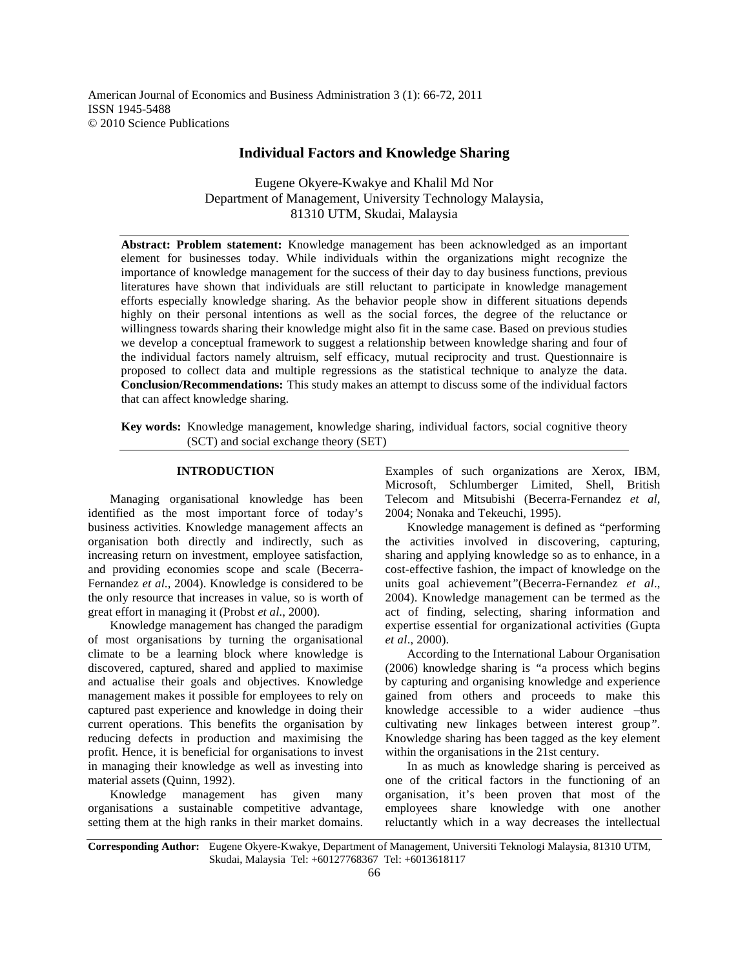American Journal of Economics and Business Administration 3 (1): 66-72, 2011 ISSN 1945-5488 © 2010 Science Publications

# **Individual Factors and Knowledge Sharing**

Eugene Okyere-Kwakye and Khalil Md Nor Department of Management, University Technology Malaysia, 81310 UTM, Skudai, Malaysia

**Abstract: Problem statement:** Knowledge management has been acknowledged as an important element for businesses today. While individuals within the organizations might recognize the importance of knowledge management for the success of their day to day business functions, previous literatures have shown that individuals are still reluctant to participate in knowledge management efforts especially knowledge sharing. As the behavior people show in different situations depends highly on their personal intentions as well as the social forces, the degree of the reluctance or willingness towards sharing their knowledge might also fit in the same case. Based on previous studies we develop a conceptual framework to suggest a relationship between knowledge sharing and four of the individual factors namely altruism, self efficacy, mutual reciprocity and trust. Questionnaire is proposed to collect data and multiple regressions as the statistical technique to analyze the data. **Conclusion/Recommendations:** This study makes an attempt to discuss some of the individual factors that can affect knowledge sharing.

**Key words:** Knowledge management, knowledge sharing, individual factors, social cognitive theory (SCT) and social exchange theory (SET)

### **INTRODUCTION**

 Managing organisational knowledge has been identified as the most important force of today's business activities. Knowledge management affects an organisation both directly and indirectly, such as increasing return on investment, employee satisfaction, and providing economies scope and scale (Becerra-Fernandez *et al*., 2004). Knowledge is considered to be the only resource that increases in value, so is worth of great effort in managing it (Probst *et al*., 2000).

 Knowledge management has changed the paradigm of most organisations by turning the organisational climate to be a learning block where knowledge is discovered, captured, shared and applied to maximise and actualise their goals and objectives. Knowledge management makes it possible for employees to rely on captured past experience and knowledge in doing their current operations. This benefits the organisation by reducing defects in production and maximising the profit. Hence, it is beneficial for organisations to invest in managing their knowledge as well as investing into material assets (Quinn, 1992).

 Knowledge management has given many organisations a sustainable competitive advantage, setting them at the high ranks in their market domains.

Examples of such organizations are Xerox, IBM, Microsoft, Schlumberger Limited, Shell, British Telecom and Mitsubishi (Becerra-Fernandez *et al*, 2004; Nonaka and Tekeuchi, 1995).

 Knowledge management is defined as *"*performing the activities involved in discovering, capturing, sharing and applying knowledge so as to enhance, in a cost-effective fashion, the impact of knowledge on the units goal achievement*"*(Becerra-Fernandez *et al*., 2004). Knowledge management can be termed as the act of finding, selecting, sharing information and expertise essential for organizational activities (Gupta *et al*., 2000).

 According to the International Labour Organisation (2006) knowledge sharing is *"*a process which begins by capturing and organising knowledge and experience gained from others and proceeds to make this knowledge accessible to a wider audience –thus cultivating new linkages between interest group*"*. Knowledge sharing has been tagged as the key element within the organisations in the 21st century.

 In as much as knowledge sharing is perceived as one of the critical factors in the functioning of an organisation, it's been proven that most of the employees share knowledge with one another reluctantly which in a way decreases the intellectual

**Corresponding Author:** Eugene Okyere-Kwakye, Department of Management, Universiti Teknologi Malaysia, 81310 UTM, Skudai, Malaysia Tel: +60127768367 Tel: +6013618117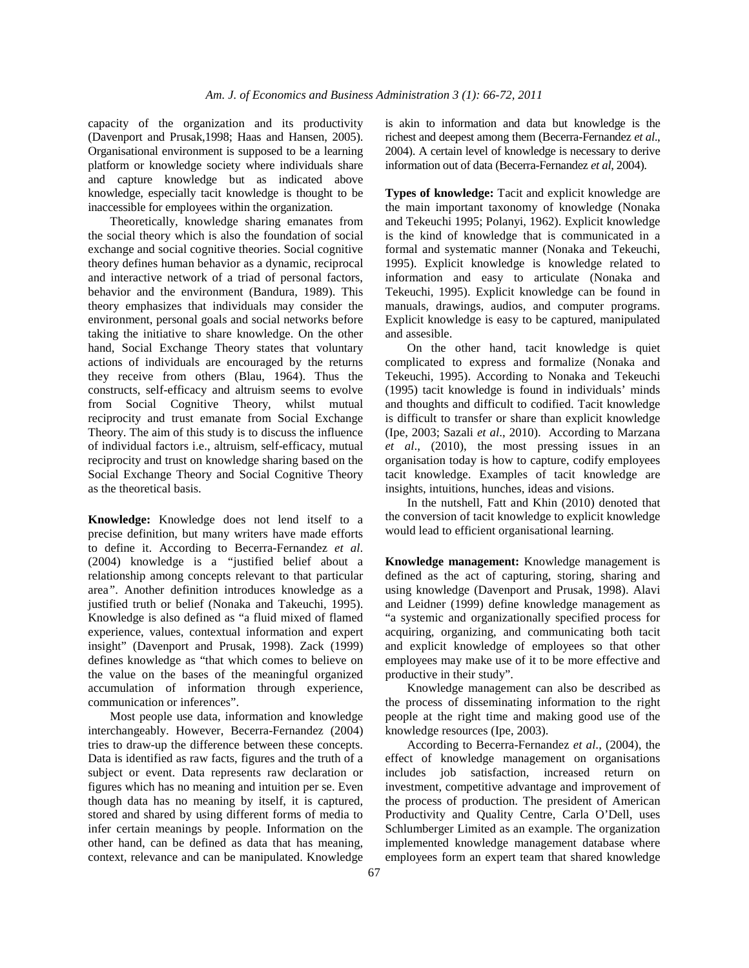capacity of the organization and its productivity (Davenport and Prusak,1998; Haas and Hansen, 2005). Organisational environment is supposed to be a learning platform or knowledge society where individuals share and capture knowledge but as indicated above knowledge, especially tacit knowledge is thought to be inaccessible for employees within the organization.

 Theoretically, knowledge sharing emanates from the social theory which is also the foundation of social exchange and social cognitive theories. Social cognitive theory defines human behavior as a dynamic, reciprocal and interactive network of a triad of personal factors, behavior and the environment (Bandura, 1989). This theory emphasizes that individuals may consider the environment, personal goals and social networks before taking the initiative to share knowledge. On the other hand, Social Exchange Theory states that voluntary actions of individuals are encouraged by the returns they receive from others (Blau, 1964). Thus the constructs, self-efficacy and altruism seems to evolve from Social Cognitive Theory, whilst mutual reciprocity and trust emanate from Social Exchange Theory. The aim of this study is to discuss the influence of individual factors i.e., altruism, self-efficacy, mutual reciprocity and trust on knowledge sharing based on the Social Exchange Theory and Social Cognitive Theory as the theoretical basis.

**Knowledge:** Knowledge does not lend itself to a precise definition, but many writers have made efforts to define it. According to Becerra-Fernandez *et al*. (2004) knowledge is a *"*justified belief about a relationship among concepts relevant to that particular area*"*. Another definition introduces knowledge as a justified truth or belief (Nonaka and Takeuchi, 1995). Knowledge is also defined as "a fluid mixed of flamed experience, values, contextual information and expert insight" (Davenport and Prusak, 1998). Zack (1999) defines knowledge as "that which comes to believe on the value on the bases of the meaningful organized accumulation of information through experience, communication or inferences".

 Most people use data, information and knowledge interchangeably. However, Becerra-Fernandez (2004) tries to draw-up the difference between these concepts. Data is identified as raw facts, figures and the truth of a subject or event. Data represents raw declaration or figures which has no meaning and intuition per se. Even though data has no meaning by itself, it is captured, stored and shared by using different forms of media to infer certain meanings by people. Information on the other hand, can be defined as data that has meaning, context, relevance and can be manipulated. Knowledge

is akin to information and data but knowledge is the richest and deepest among them (Becerra-Fernandez *et al*., 2004). A certain level of knowledge is necessary to derive information out of data (Becerra-Fernandez *et al*, 2004).

**Types of knowledge:** Tacit and explicit knowledge are the main important taxonomy of knowledge (Nonaka and Tekeuchi 1995; Polanyi, 1962). Explicit knowledge is the kind of knowledge that is communicated in a formal and systematic manner (Nonaka and Tekeuchi, 1995). Explicit knowledge is knowledge related to information and easy to articulate (Nonaka and Tekeuchi, 1995). Explicit knowledge can be found in manuals, drawings, audios, and computer programs. Explicit knowledge is easy to be captured, manipulated and assesible.

 On the other hand, tacit knowledge is quiet complicated to express and formalize (Nonaka and Tekeuchi, 1995). According to Nonaka and Tekeuchi (1995) tacit knowledge is found in individuals' minds and thoughts and difficult to codified. Tacit knowledge is difficult to transfer or share than explicit knowledge (Ipe, 2003; Sazali *et al*., 2010). According to Marzana *et al*., (2010), the most pressing issues in an organisation today is how to capture, codify employees tacit knowledge. Examples of tacit knowledge are insights, intuitions, hunches, ideas and visions.

 In the nutshell, Fatt and Khin (2010) denoted that the conversion of tacit knowledge to explicit knowledge would lead to efficient organisational learning.

**Knowledge management:** Knowledge management is defined as the act of capturing, storing, sharing and using knowledge (Davenport and Prusak, 1998). Alavi and Leidner (1999) define knowledge management as "a systemic and organizationally specified process for acquiring, organizing, and communicating both tacit and explicit knowledge of employees so that other employees may make use of it to be more effective and productive in their study".

 Knowledge management can also be described as the process of disseminating information to the right people at the right time and making good use of the knowledge resources (Ipe, 2003).

 According to Becerra-Fernandez *et al*., (2004), the effect of knowledge management on organisations includes job satisfaction, increased return on investment, competitive advantage and improvement of the process of production. The president of American Productivity and Quality Centre, Carla O'Dell, uses Schlumberger Limited as an example. The organization implemented knowledge management database where employees form an expert team that shared knowledge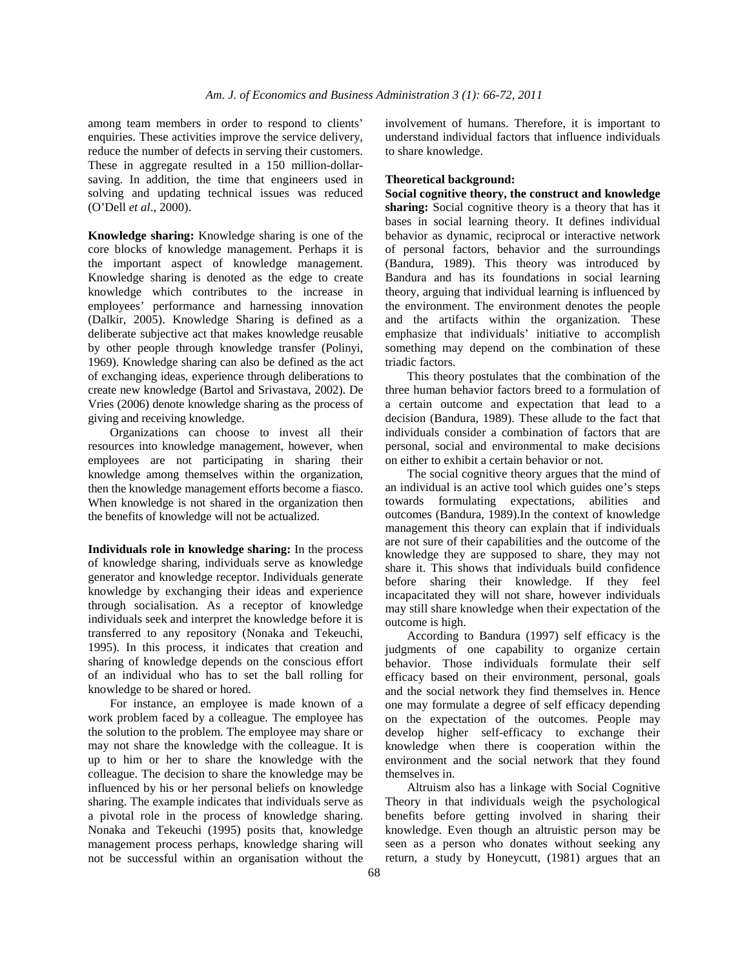among team members in order to respond to clients' enquiries. These activities improve the service delivery, reduce the number of defects in serving their customers. These in aggregate resulted in a 150 million-dollarsaving. In addition, the time that engineers used in solving and updating technical issues was reduced (O'Dell *et al*., 2000).

**Knowledge sharing:** Knowledge sharing is one of the core blocks of knowledge management. Perhaps it is the important aspect of knowledge management. Knowledge sharing is denoted as the edge to create knowledge which contributes to the increase in employees' performance and harnessing innovation (Dalkir, 2005). Knowledge Sharing is defined as a deliberate subjective act that makes knowledge reusable by other people through knowledge transfer (Polinyi, 1969). Knowledge sharing can also be defined as the act of exchanging ideas, experience through deliberations to create new knowledge (Bartol and Srivastava, 2002). De Vries (2006) denote knowledge sharing as the process of giving and receiving knowledge.

 Organizations can choose to invest all their resources into knowledge management, however, when employees are not participating in sharing their knowledge among themselves within the organization, then the knowledge management efforts become a fiasco. When knowledge is not shared in the organization then the benefits of knowledge will not be actualized.

**Individuals role in knowledge sharing:** In the process of knowledge sharing, individuals serve as knowledge generator and knowledge receptor. Individuals generate knowledge by exchanging their ideas and experience through socialisation. As a receptor of knowledge individuals seek and interpret the knowledge before it is transferred to any repository (Nonaka and Tekeuchi, 1995). In this process, it indicates that creation and sharing of knowledge depends on the conscious effort of an individual who has to set the ball rolling for knowledge to be shared or hored.

 For instance, an employee is made known of a work problem faced by a colleague. The employee has the solution to the problem. The employee may share or may not share the knowledge with the colleague. It is up to him or her to share the knowledge with the colleague. The decision to share the knowledge may be influenced by his or her personal beliefs on knowledge sharing. The example indicates that individuals serve as a pivotal role in the process of knowledge sharing. Nonaka and Tekeuchi (1995) posits that, knowledge management process perhaps, knowledge sharing will not be successful within an organisation without the involvement of humans. Therefore, it is important to understand individual factors that influence individuals to share knowledge.

#### **Theoretical background:**

**Social cognitive theory, the construct and knowledge sharing:** Social cognitive theory is a theory that has it bases in social learning theory. It defines individual behavior as dynamic, reciprocal or interactive network of personal factors, behavior and the surroundings (Bandura, 1989). This theory was introduced by Bandura and has its foundations in social learning theory, arguing that individual learning is influenced by the environment. The environment denotes the people and the artifacts within the organization. These emphasize that individuals' initiative to accomplish something may depend on the combination of these triadic factors.

 This theory postulates that the combination of the three human behavior factors breed to a formulation of a certain outcome and expectation that lead to a decision (Bandura, 1989). These allude to the fact that individuals consider a combination of factors that are personal, social and environmental to make decisions on either to exhibit a certain behavior or not.

 The social cognitive theory argues that the mind of an individual is an active tool which guides one's steps towards formulating expectations, abilities and outcomes (Bandura, 1989).In the context of knowledge management this theory can explain that if individuals are not sure of their capabilities and the outcome of the knowledge they are supposed to share, they may not share it. This shows that individuals build confidence before sharing their knowledge. If they feel incapacitated they will not share, however individuals may still share knowledge when their expectation of the outcome is high.

 According to Bandura (1997) self efficacy is the judgments of one capability to organize certain behavior. Those individuals formulate their self efficacy based on their environment, personal, goals and the social network they find themselves in. Hence one may formulate a degree of self efficacy depending on the expectation of the outcomes. People may develop higher self-efficacy to exchange their knowledge when there is cooperation within the environment and the social network that they found themselves in.

 Altruism also has a linkage with Social Cognitive Theory in that individuals weigh the psychological benefits before getting involved in sharing their knowledge. Even though an altruistic person may be seen as a person who donates without seeking any return, a study by Honeycutt, (1981) argues that an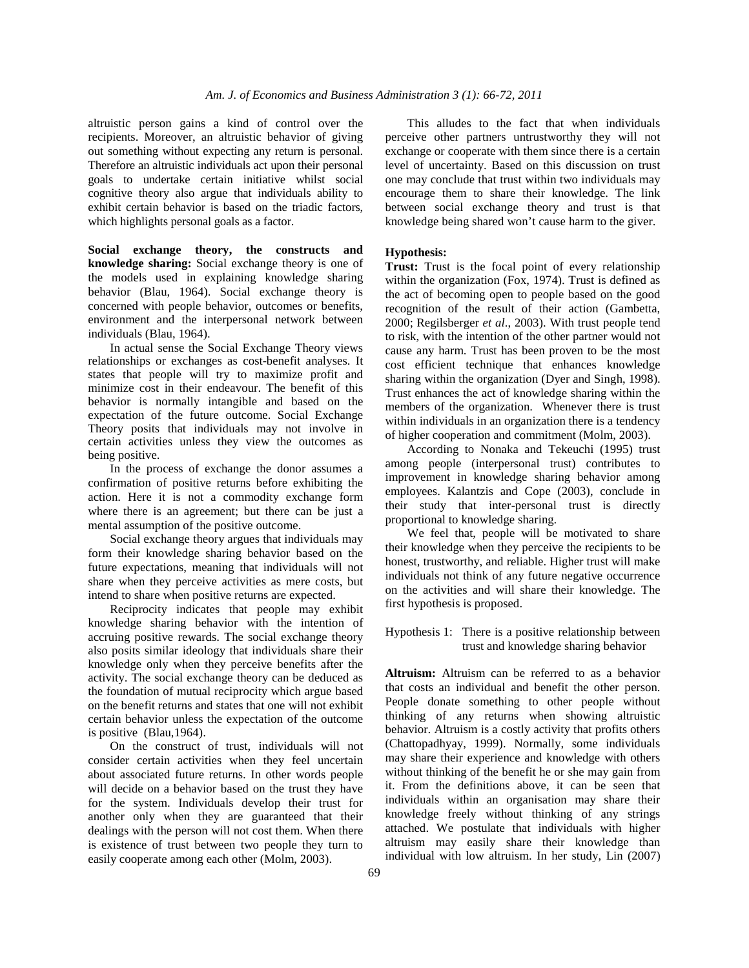altruistic person gains a kind of control over the recipients. Moreover, an altruistic behavior of giving out something without expecting any return is personal. Therefore an altruistic individuals act upon their personal goals to undertake certain initiative whilst social cognitive theory also argue that individuals ability to exhibit certain behavior is based on the triadic factors, which highlights personal goals as a factor.

**Social exchange theory, the constructs and knowledge sharing:** Social exchange theory is one of the models used in explaining knowledge sharing behavior (Blau, 1964). Social exchange theory is concerned with people behavior, outcomes or benefits, environment and the interpersonal network between individuals (Blau, 1964).

 In actual sense the Social Exchange Theory views relationships or exchanges as cost-benefit analyses. It states that people will try to maximize profit and minimize cost in their endeavour. The benefit of this behavior is normally intangible and based on the expectation of the future outcome. Social Exchange Theory posits that individuals may not involve in certain activities unless they view the outcomes as being positive.

 In the process of exchange the donor assumes a confirmation of positive returns before exhibiting the action. Here it is not a commodity exchange form where there is an agreement; but there can be just a mental assumption of the positive outcome.

 Social exchange theory argues that individuals may form their knowledge sharing behavior based on the future expectations, meaning that individuals will not share when they perceive activities as mere costs, but intend to share when positive returns are expected.

 Reciprocity indicates that people may exhibit knowledge sharing behavior with the intention of accruing positive rewards. The social exchange theory also posits similar ideology that individuals share their knowledge only when they perceive benefits after the activity. The social exchange theory can be deduced as the foundation of mutual reciprocity which argue based on the benefit returns and states that one will not exhibit certain behavior unless the expectation of the outcome is positive (Blau,1964).

 On the construct of trust, individuals will not consider certain activities when they feel uncertain about associated future returns. In other words people will decide on a behavior based on the trust they have for the system. Individuals develop their trust for another only when they are guaranteed that their dealings with the person will not cost them. When there is existence of trust between two people they turn to easily cooperate among each other (Molm, 2003).

 This alludes to the fact that when individuals perceive other partners untrustworthy they will not exchange or cooperate with them since there is a certain level of uncertainty. Based on this discussion on trust one may conclude that trust within two individuals may encourage them to share their knowledge. The link between social exchange theory and trust is that knowledge being shared won't cause harm to the giver.

#### **Hypothesis:**

**Trust:** Trust is the focal point of every relationship within the organization (Fox, 1974). Trust is defined as the act of becoming open to people based on the good recognition of the result of their action (Gambetta, 2000; Regilsberger *et al*., 2003). With trust people tend to risk, with the intention of the other partner would not cause any harm. Trust has been proven to be the most cost efficient technique that enhances knowledge sharing within the organization (Dyer and Singh, 1998). Trust enhances the act of knowledge sharing within the members of the organization. Whenever there is trust within individuals in an organization there is a tendency of higher cooperation and commitment (Molm, 2003).

 According to Nonaka and Tekeuchi (1995) trust among people (interpersonal trust) contributes to improvement in knowledge sharing behavior among employees. Kalantzis and Cope (2003), conclude in their study that inter-personal trust is directly proportional to knowledge sharing.

 We feel that, people will be motivated to share their knowledge when they perceive the recipients to be honest, trustworthy, and reliable. Higher trust will make individuals not think of any future negative occurrence on the activities and will share their knowledge. The first hypothesis is proposed.

Hypothesis 1: There is a positive relationship between trust and knowledge sharing behavior

**Altruism:** Altruism can be referred to as a behavior that costs an individual and benefit the other person. People donate something to other people without thinking of any returns when showing altruistic behavior. Altruism is a costly activity that profits others (Chattopadhyay, 1999). Normally, some individuals may share their experience and knowledge with others without thinking of the benefit he or she may gain from it. From the definitions above, it can be seen that individuals within an organisation may share their knowledge freely without thinking of any strings attached. We postulate that individuals with higher altruism may easily share their knowledge than individual with low altruism. In her study, Lin (2007)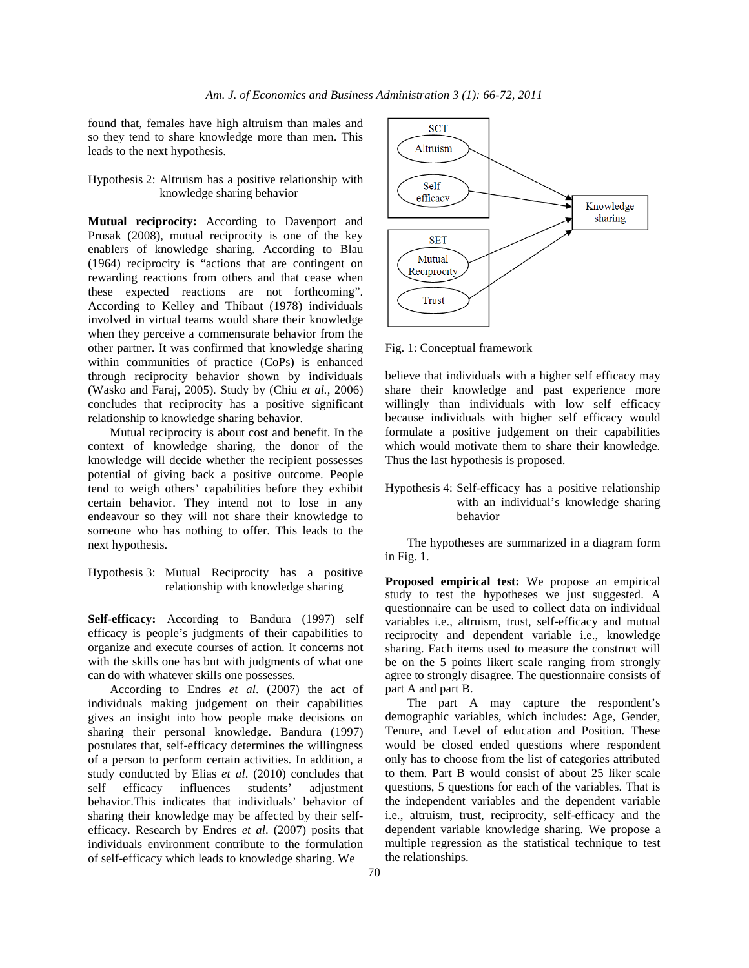found that, females have high altruism than males and so they tend to share knowledge more than men. This leads to the next hypothesis.

Hypothesis 2: Altruism has a positive relationship with knowledge sharing behavior

**Mutual reciprocity:** According to Davenport and Prusak (2008), mutual reciprocity is one of the key enablers of knowledge sharing. According to Blau (1964) reciprocity is "actions that are contingent on rewarding reactions from others and that cease when these expected reactions are not forthcoming". According to Kelley and Thibaut (1978) individuals involved in virtual teams would share their knowledge when they perceive a commensurate behavior from the other partner. It was confirmed that knowledge sharing within communities of practice (CoPs) is enhanced through reciprocity behavior shown by individuals (Wasko and Faraj, 2005). Study by (Chiu *et al.*, 2006) concludes that reciprocity has a positive significant relationship to knowledge sharing behavior.

 Mutual reciprocity is about cost and benefit. In the context of knowledge sharing, the donor of the knowledge will decide whether the recipient possesses potential of giving back a positive outcome. People tend to weigh others' capabilities before they exhibit certain behavior. They intend not to lose in any endeavour so they will not share their knowledge to someone who has nothing to offer. This leads to the next hypothesis.

Hypothesis 3: Mutual Reciprocity has a positive relationship with knowledge sharing

**Self-efficacy:** According to Bandura (1997) self efficacy is people's judgments of their capabilities to organize and execute courses of action. It concerns not with the skills one has but with judgments of what one can do with whatever skills one possesses.

 According to Endres *et al*. (2007) the act of individuals making judgement on their capabilities gives an insight into how people make decisions on sharing their personal knowledge. Bandura (1997) postulates that, self-efficacy determines the willingness of a person to perform certain activities. In addition, a study conducted by Elias *et al*. (2010) concludes that self efficacy influences students' adjustment behavior.This indicates that individuals' behavior of sharing their knowledge may be affected by their selfefficacy. Research by Endres *et al*. (2007) posits that individuals environment contribute to the formulation of self-efficacy which leads to knowledge sharing. We



Fig. 1: Conceptual framework

believe that individuals with a higher self efficacy may share their knowledge and past experience more willingly than individuals with low self efficacy because individuals with higher self efficacy would formulate a positive judgement on their capabilities which would motivate them to share their knowledge. Thus the last hypothesis is proposed.

Hypothesis 4: Self-efficacy has a positive relationship with an individual's knowledge sharing behavior

 The hypotheses are summarized in a diagram form in Fig. 1.

**Proposed empirical test:** We propose an empirical study to test the hypotheses we just suggested. A questionnaire can be used to collect data on individual variables i.e., altruism, trust, self-efficacy and mutual reciprocity and dependent variable i.e., knowledge sharing. Each items used to measure the construct will be on the 5 points likert scale ranging from strongly agree to strongly disagree. The questionnaire consists of part A and part B.

 The part A may capture the respondent's demographic variables, which includes: Age, Gender, Tenure, and Level of education and Position. These would be closed ended questions where respondent only has to choose from the list of categories attributed to them. Part B would consist of about 25 liker scale questions, 5 questions for each of the variables. That is the independent variables and the dependent variable i.e., altruism, trust, reciprocity, self-efficacy and the dependent variable knowledge sharing. We propose a multiple regression as the statistical technique to test the relationships.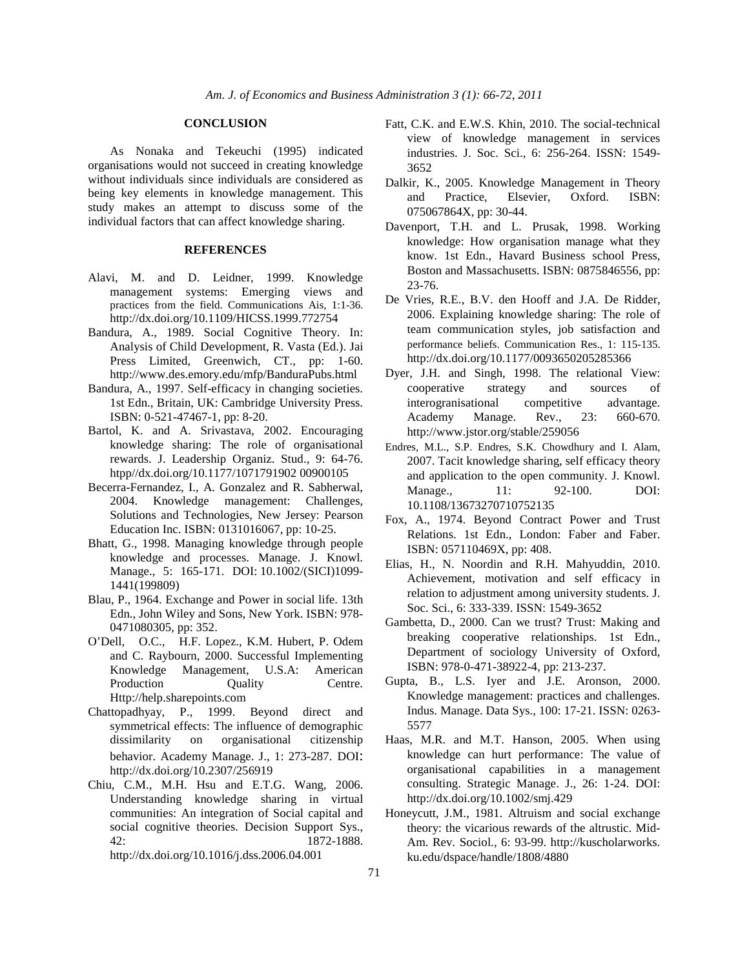#### **CONCLUSION**

 As Nonaka and Tekeuchi (1995) indicated organisations would not succeed in creating knowledge without individuals since individuals are considered as being key elements in knowledge management. This study makes an attempt to discuss some of the individual factors that can affect knowledge sharing.

## **REFERENCES**

- Alavi, M. and D. Leidner, 1999. Knowledge management systems: Emerging views and practices from the field. Communications Ais, 1:1-36. http://dx.doi.org/10.1109/HICSS.1999.772754
- Bandura, A., 1989. Social Cognitive Theory. In: Analysis of Child Development, R. Vasta (Ed.). Jai Press Limited, Greenwich, CT., pp: 1-60. http://www.des.emory.edu/mfp/BanduraPubs.html
- Bandura, A., 1997. Self-efficacy in changing societies. 1st Edn., Britain, UK: Cambridge University Press. ISBN: 0-521-47467-1, pp: 8-20.
- Bartol, K. and A. Srivastava, 2002. Encouraging knowledge sharing: The role of organisational rewards. J. Leadership Organiz. Stud., 9: 64-76. htpp//dx.doi.org/10.1177/1071791902 00900105
- Becerra-Fernandez, I., A. Gonzalez and R. Sabherwal, 2004. Knowledge management: Challenges, Solutions and Technologies, New Jersey: Pearson Education Inc. ISBN: 0131016067, pp: 10-25.
- Bhatt, G., 1998. Managing knowledge through people knowledge and processes. Manage. J. Knowl. Manage., 5: 165-171. DOI: 10.1002/(SICI)1099- 1441(199809)
- Blau, P., 1964. Exchange and Power in social life. 13th Edn., John Wiley and Sons, New York. ISBN: 978- 0471080305, pp: 352.
- O'Dell, O.C., H.F. Lopez., K.M. Hubert, P. Odem and C. Raybourn, 2000. Successful Implementing Knowledge Management, U.S.A: American Production Duality Centre. Http://help.sharepoints.com
- Chattopadhyay, P., 1999. Beyond direct and symmetrical effects: The influence of demographic dissimilarity on organisational citizenship behavior. Academy Manage. J., 1: 273-287. DOI: http://dx.doi.org/10.2307/256919
- Chiu, C.M., M.H. Hsu and E.T.G. Wang, 2006. Understanding knowledge sharing in virtual communities: An integration of Social capital and social cognitive theories. Decision Support Sys., 42: 1872-1888.
	- http://dx.doi.org/10.1016/j.dss.2006.04.001
- Fatt, C.K. and E.W.S. Khin, 2010. The social-technical view of knowledge management in services industries. J. Soc. Sci., 6: 256-264. ISSN: 1549- 3652
- Dalkir, K., 2005. Knowledge Management in Theory and Practice, Elsevier, Oxford. ISBN: 075067864X, pp: 30-44.
- Davenport, T.H. and L. Prusak, 1998. Working knowledge: How organisation manage what they know. 1st Edn., Havard Business school Press, Boston and Massachusetts. ISBN: 0875846556, pp: 23-76.
- De Vries, R.E., B.V. den Hooff and J.A. De Ridder, 2006. Explaining knowledge sharing: The role of team communication styles, job satisfaction and performance beliefs. Communication Res., 1: 115-135. http://dx.doi.org/10.1177/0093650205285366
- Dyer, J.H. and Singh, 1998. The relational View: cooperative strategy and sources of interogranisational competitive advantage. Academy Manage. Rev., 23: 660-670. http://www.jstor.org/stable/259056
- Endres, M.L., S.P. Endres, S.K. Chowdhury and I. Alam, 2007. Tacit knowledge sharing, self efficacy theory and application to the open community. J. Knowl. Manage., 11: 92-100. DOI: 10.1108/13673270710752135
- Fox, A., 1974. Beyond Contract Power and Trust Relations. 1st Edn., London: Faber and Faber. ISBN: 057110469X, pp: 408.
- Elias, H., N. Noordin and R.H. Mahyuddin, 2010. Achievement, motivation and self efficacy in relation to adjustment among university students. J. Soc. Sci., 6: 333-339. ISSN: 1549-3652
- Gambetta, D., 2000. Can we trust? Trust: Making and breaking cooperative relationships. 1st Edn., Department of sociology University of Oxford, ISBN: 978-0-471-38922-4, pp: 213-237.
- Gupta, B., L.S. Iyer and J.E. Aronson, 2000. Knowledge management: practices and challenges. Indus. Manage. Data Sys., 100: 17-21. ISSN: 0263- 5577
- Haas, M.R. and M.T. Hanson, 2005. When using knowledge can hurt performance: The value of organisational capabilities in a management consulting. Strategic Manage. J., 26: 1-24. DOI: http://dx.doi.org/10.1002/smj.429
- Honeycutt, J.M., 1981. Altruism and social exchange theory: the vicarious rewards of the altrustic. Mid-Am. Rev. Sociol., 6: 93-99. http://kuscholarworks. ku.edu/dspace/handle/1808/4880